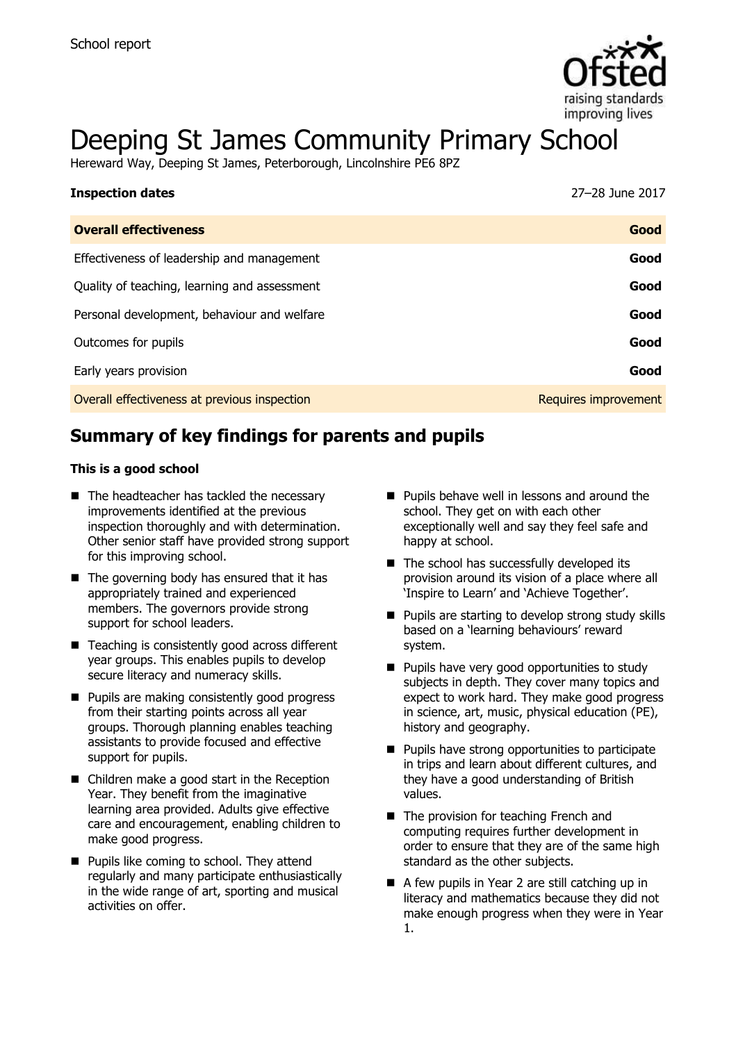

# Deeping St James Community Primary School

Hereward Way, Deeping St James, Peterborough, Lincolnshire PE6 8PZ

| <b>Inspection dates</b>                      | 27-28 June 2017      |
|----------------------------------------------|----------------------|
| <b>Overall effectiveness</b>                 | Good                 |
| Effectiveness of leadership and management   | Good                 |
| Quality of teaching, learning and assessment | Good                 |
| Personal development, behaviour and welfare  | Good                 |
| Outcomes for pupils                          | Good                 |
| Early years provision                        | Good                 |
| Overall effectiveness at previous inspection | Requires improvement |

## **Summary of key findings for parents and pupils**

#### **This is a good school**

- The headteacher has tackled the necessary improvements identified at the previous inspection thoroughly and with determination. Other senior staff have provided strong support for this improving school.
- $\blacksquare$  The governing body has ensured that it has appropriately trained and experienced members. The governors provide strong support for school leaders.
- Teaching is consistently good across different year groups. This enables pupils to develop secure literacy and numeracy skills.
- **Pupils are making consistently good progress** from their starting points across all year groups. Thorough planning enables teaching assistants to provide focused and effective support for pupils.
- Children make a good start in the Reception Year. They benefit from the imaginative learning area provided. Adults give effective care and encouragement, enabling children to make good progress.
- **Pupils like coming to school. They attend** regularly and many participate enthusiastically in the wide range of art, sporting and musical activities on offer.
- **Pupils behave well in lessons and around the** school. They get on with each other exceptionally well and say they feel safe and happy at school.
- $\blacksquare$  The school has successfully developed its provision around its vision of a place where all 'Inspire to Learn' and 'Achieve Together'.
- **Pupils are starting to develop strong study skills** based on a 'learning behaviours' reward system.
- **Pupils have very good opportunities to study** subjects in depth. They cover many topics and expect to work hard. They make good progress in science, art, music, physical education (PE), history and geography.
- **Pupils have strong opportunities to participate** in trips and learn about different cultures, and they have a good understanding of British values.
- The provision for teaching French and computing requires further development in order to ensure that they are of the same high standard as the other subjects.
- A few pupils in Year 2 are still catching up in literacy and mathematics because they did not make enough progress when they were in Year 1.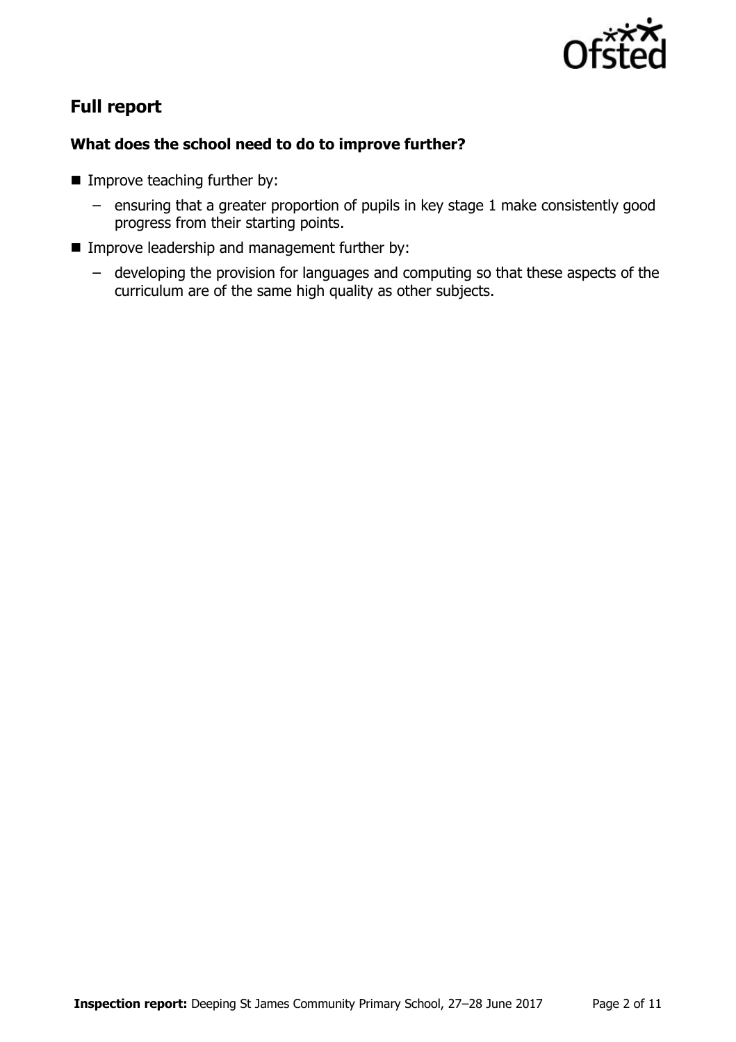

## **Full report**

### **What does the school need to do to improve further?**

- **Improve teaching further by:** 
	- ensuring that a greater proportion of pupils in key stage 1 make consistently good progress from their starting points.
- **IMPROVE leadership and management further by:** 
	- developing the provision for languages and computing so that these aspects of the curriculum are of the same high quality as other subjects.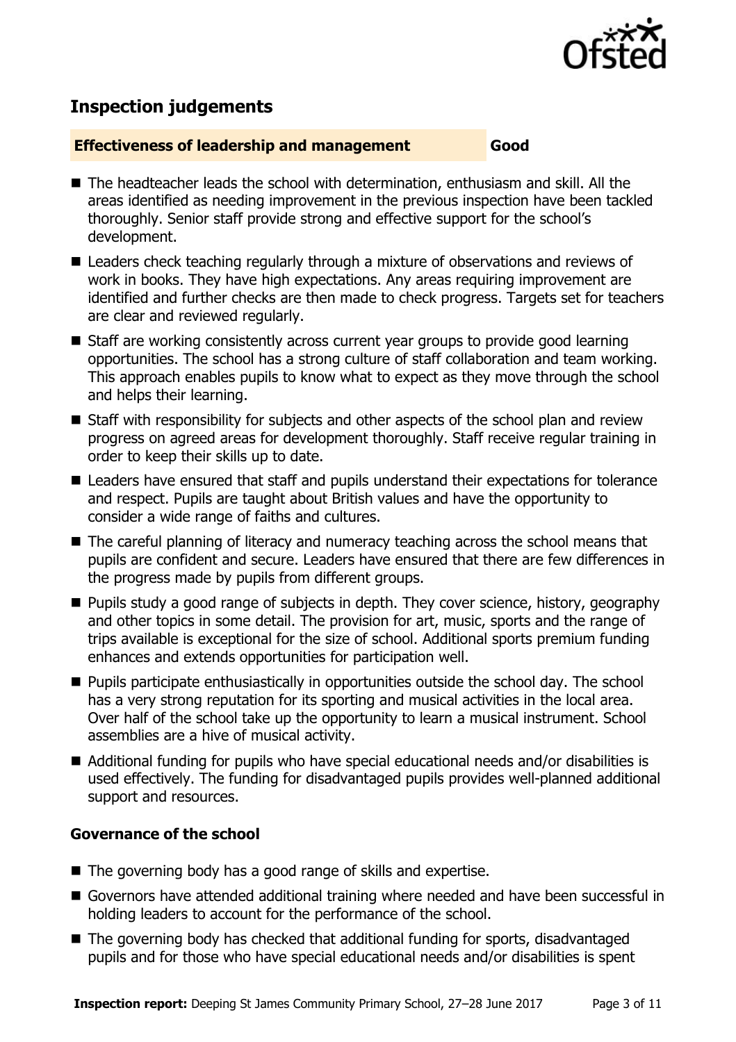

## **Inspection judgements**

#### **Effectiveness of leadership and management Good**

■ The headteacher leads the school with determination, enthusiasm and skill. All the areas identified as needing improvement in the previous inspection have been tackled thoroughly. Senior staff provide strong and effective support for the school's development.

- Leaders check teaching regularly through a mixture of observations and reviews of work in books. They have high expectations. Any areas requiring improvement are identified and further checks are then made to check progress. Targets set for teachers are clear and reviewed regularly.
- Staff are working consistently across current year groups to provide good learning opportunities. The school has a strong culture of staff collaboration and team working. This approach enables pupils to know what to expect as they move through the school and helps their learning.
- Staff with responsibility for subjects and other aspects of the school plan and review progress on agreed areas for development thoroughly. Staff receive regular training in order to keep their skills up to date.
- Leaders have ensured that staff and pupils understand their expectations for tolerance and respect. Pupils are taught about British values and have the opportunity to consider a wide range of faiths and cultures.
- The careful planning of literacy and numeracy teaching across the school means that pupils are confident and secure. Leaders have ensured that there are few differences in the progress made by pupils from different groups.
- **Pupils study a good range of subjects in depth. They cover science, history, geography** and other topics in some detail. The provision for art, music, sports and the range of trips available is exceptional for the size of school. Additional sports premium funding enhances and extends opportunities for participation well.
- **Pupils participate enthusiastically in opportunities outside the school day. The school** has a very strong reputation for its sporting and musical activities in the local area. Over half of the school take up the opportunity to learn a musical instrument. School assemblies are a hive of musical activity.
- Additional funding for pupils who have special educational needs and/or disabilities is used effectively. The funding for disadvantaged pupils provides well-planned additional support and resources.

#### **Governance of the school**

- The governing body has a good range of skills and expertise.
- Governors have attended additional training where needed and have been successful in holding leaders to account for the performance of the school.
- The governing body has checked that additional funding for sports, disadvantaged pupils and for those who have special educational needs and/or disabilities is spent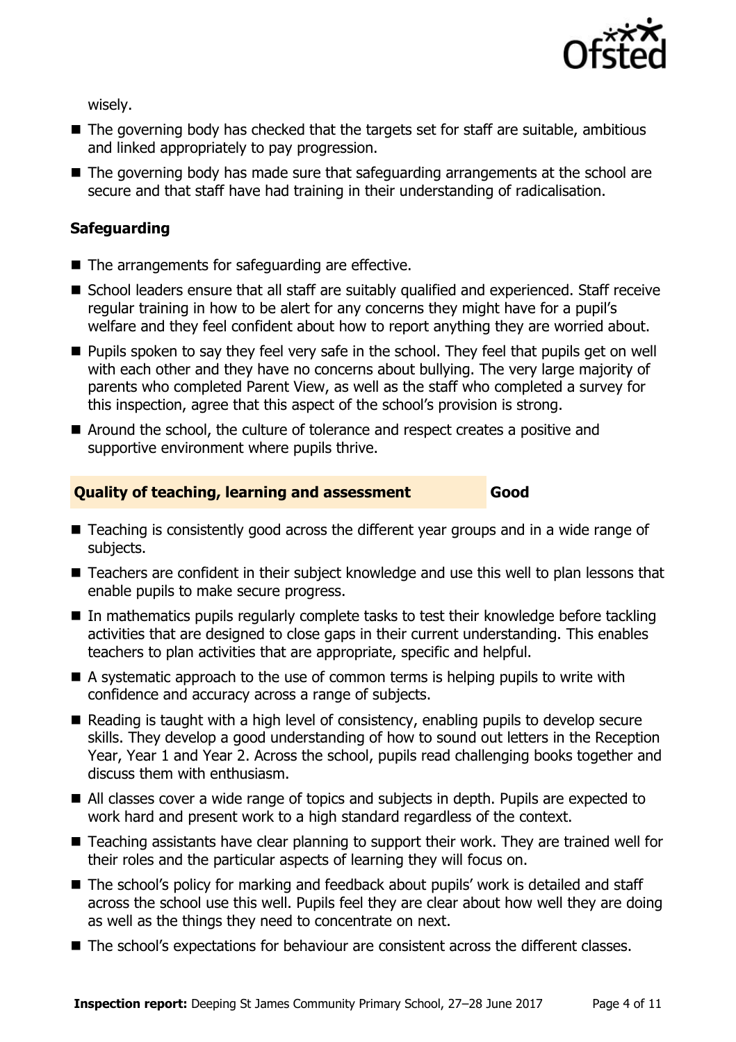

wisely.

- $\blacksquare$  The governing body has checked that the targets set for staff are suitable, ambitious and linked appropriately to pay progression.
- The governing body has made sure that safeguarding arrangements at the school are secure and that staff have had training in their understanding of radicalisation.

#### **Safeguarding**

- The arrangements for safeguarding are effective.
- School leaders ensure that all staff are suitably qualified and experienced. Staff receive regular training in how to be alert for any concerns they might have for a pupil's welfare and they feel confident about how to report anything they are worried about.
- **Pupils spoken to say they feel very safe in the school. They feel that pupils get on well** with each other and they have no concerns about bullying. The very large majority of parents who completed Parent View, as well as the staff who completed a survey for this inspection, agree that this aspect of the school's provision is strong.
- Around the school, the culture of tolerance and respect creates a positive and supportive environment where pupils thrive.

#### **Quality of teaching, learning and assessment Good**

- Teaching is consistently good across the different year groups and in a wide range of subjects.
- Teachers are confident in their subject knowledge and use this well to plan lessons that enable pupils to make secure progress.
- $\blacksquare$  In mathematics pupils regularly complete tasks to test their knowledge before tackling activities that are designed to close gaps in their current understanding. This enables teachers to plan activities that are appropriate, specific and helpful.
- A systematic approach to the use of common terms is helping pupils to write with confidence and accuracy across a range of subjects.
- $\blacksquare$  Reading is taught with a high level of consistency, enabling pupils to develop secure skills. They develop a good understanding of how to sound out letters in the Reception Year, Year 1 and Year 2. Across the school, pupils read challenging books together and discuss them with enthusiasm.
- All classes cover a wide range of topics and subjects in depth. Pupils are expected to work hard and present work to a high standard regardless of the context.
- Teaching assistants have clear planning to support their work. They are trained well for their roles and the particular aspects of learning they will focus on.
- The school's policy for marking and feedback about pupils' work is detailed and staff across the school use this well. Pupils feel they are clear about how well they are doing as well as the things they need to concentrate on next.
- The school's expectations for behaviour are consistent across the different classes.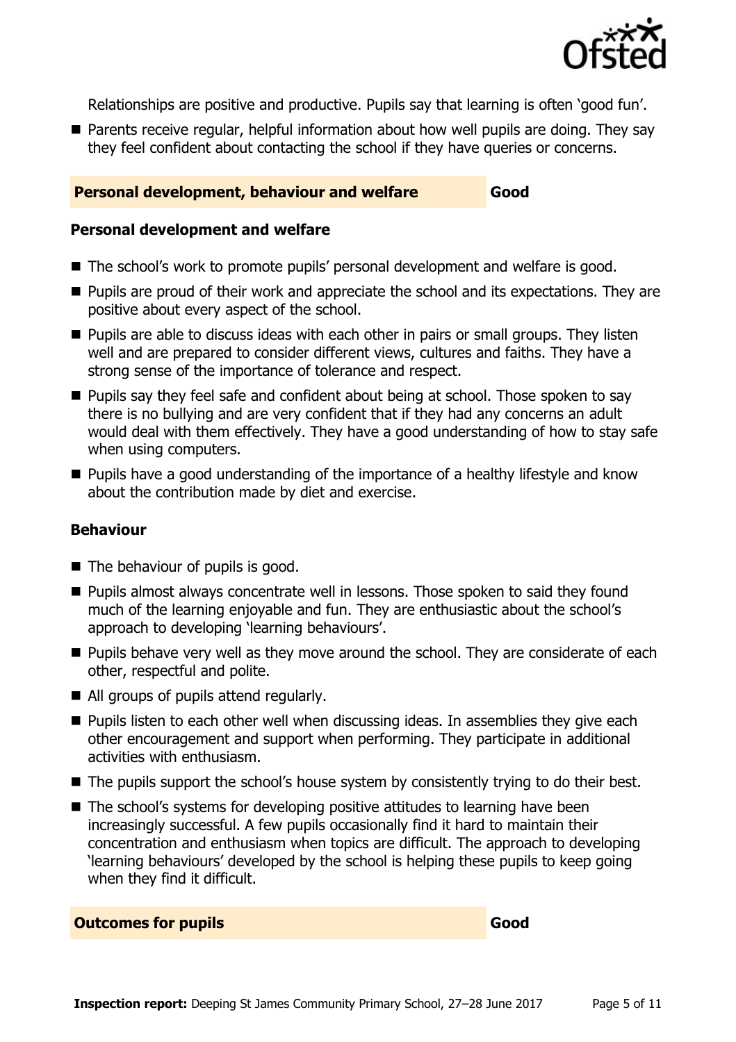

Relationships are positive and productive. Pupils say that learning is often 'good fun'.

■ Parents receive regular, helpful information about how well pupils are doing. They say they feel confident about contacting the school if they have queries or concerns.

#### **Personal development, behaviour and welfare Good**

#### **Personal development and welfare**

- The school's work to promote pupils' personal development and welfare is good.
- **Pupils are proud of their work and appreciate the school and its expectations. They are** positive about every aspect of the school.
- **Pupils are able to discuss ideas with each other in pairs or small groups. They listen** well and are prepared to consider different views, cultures and faiths. They have a strong sense of the importance of tolerance and respect.
- **Pupils say they feel safe and confident about being at school. Those spoken to say** there is no bullying and are very confident that if they had any concerns an adult would deal with them effectively. They have a good understanding of how to stay safe when using computers.
- **Pupils have a good understanding of the importance of a healthy lifestyle and know** about the contribution made by diet and exercise.

#### **Behaviour**

- $\blacksquare$  The behaviour of pupils is good.
- **Pupils almost always concentrate well in lessons. Those spoken to said they found** much of the learning enjoyable and fun. They are enthusiastic about the school's approach to developing 'learning behaviours'.
- **Pupils behave very well as they move around the school. They are considerate of each** other, respectful and polite.
- All groups of pupils attend regularly.
- **Pupils listen to each other well when discussing ideas. In assemblies they give each** other encouragement and support when performing. They participate in additional activities with enthusiasm.
- The pupils support the school's house system by consistently trying to do their best.
- The school's systems for developing positive attitudes to learning have been increasingly successful. A few pupils occasionally find it hard to maintain their concentration and enthusiasm when topics are difficult. The approach to developing 'learning behaviours' developed by the school is helping these pupils to keep going when they find it difficult.

**Outcomes for pupils Good**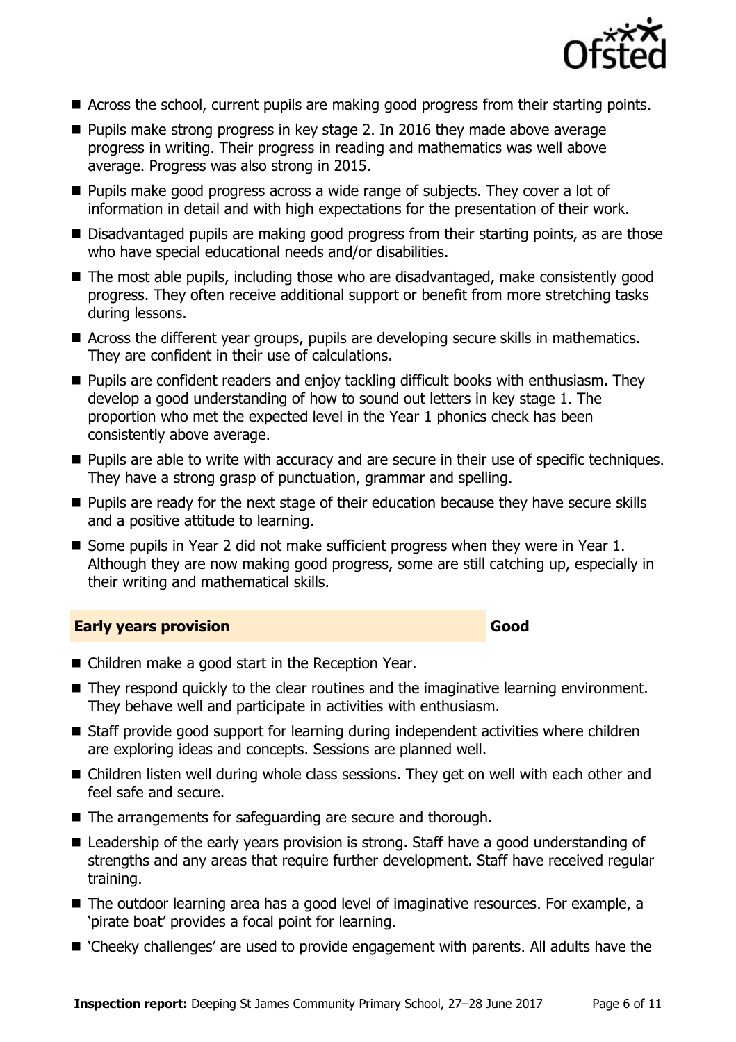

- Across the school, current pupils are making good progress from their starting points.
- **Pupils make strong progress in key stage 2. In 2016 they made above average** progress in writing. Their progress in reading and mathematics was well above average. Progress was also strong in 2015.
- **Pupils make good progress across a wide range of subjects. They cover a lot of** information in detail and with high expectations for the presentation of their work.
- Disadvantaged pupils are making good progress from their starting points, as are those who have special educational needs and/or disabilities.
- The most able pupils, including those who are disadvantaged, make consistently good progress. They often receive additional support or benefit from more stretching tasks during lessons.
- Across the different year groups, pupils are developing secure skills in mathematics. They are confident in their use of calculations.
- **Pupils are confident readers and enjoy tackling difficult books with enthusiasm. They** develop a good understanding of how to sound out letters in key stage 1. The proportion who met the expected level in the Year 1 phonics check has been consistently above average.
- **Pupils are able to write with accuracy and are secure in their use of specific techniques.** They have a strong grasp of punctuation, grammar and spelling.
- **Pupils are ready for the next stage of their education because they have secure skills** and a positive attitude to learning.
- Some pupils in Year 2 did not make sufficient progress when they were in Year 1. Although they are now making good progress, some are still catching up, especially in their writing and mathematical skills.

#### **Early years provision Good Good**

- Children make a good start in the Reception Year.
- They respond quickly to the clear routines and the imaginative learning environment. They behave well and participate in activities with enthusiasm.
- Staff provide good support for learning during independent activities where children are exploring ideas and concepts. Sessions are planned well.
- Children listen well during whole class sessions. They get on well with each other and feel safe and secure.
- The arrangements for safeguarding are secure and thorough.
- Leadership of the early years provision is strong. Staff have a good understanding of strengths and any areas that require further development. Staff have received regular training.
- The outdoor learning area has a good level of imaginative resources. For example, a 'pirate boat' provides a focal point for learning.
- 'Cheeky challenges' are used to provide engagement with parents. All adults have the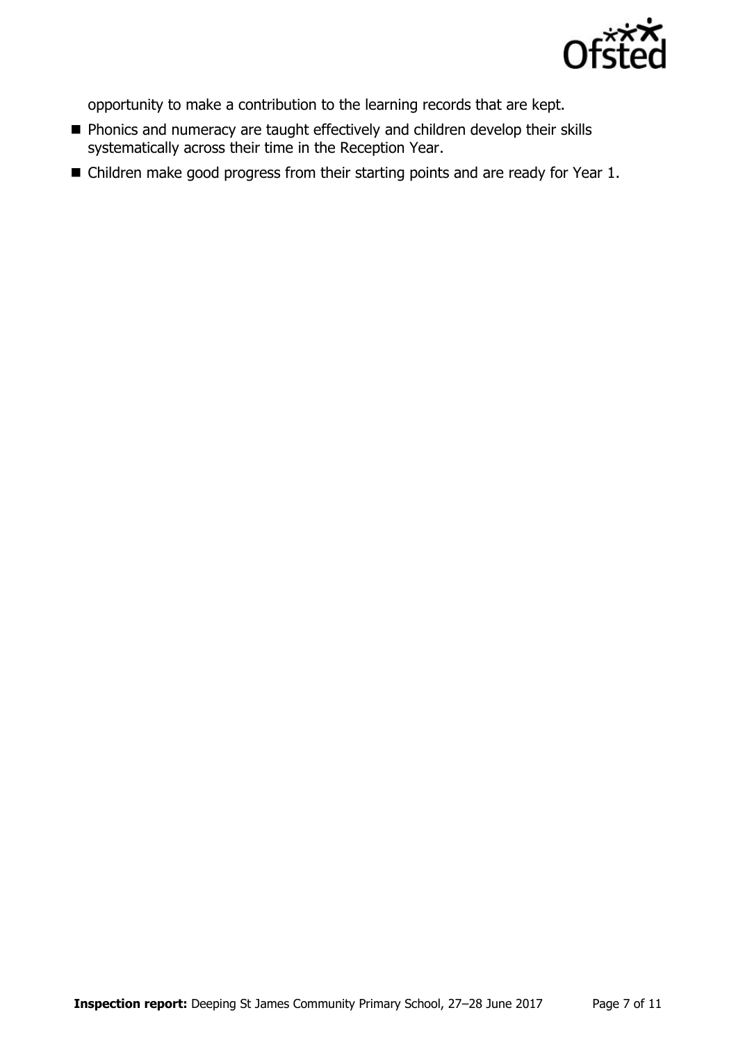

opportunity to make a contribution to the learning records that are kept.

- **Phonics and numeracy are taught effectively and children develop their skills** systematically across their time in the Reception Year.
- Children make good progress from their starting points and are ready for Year 1.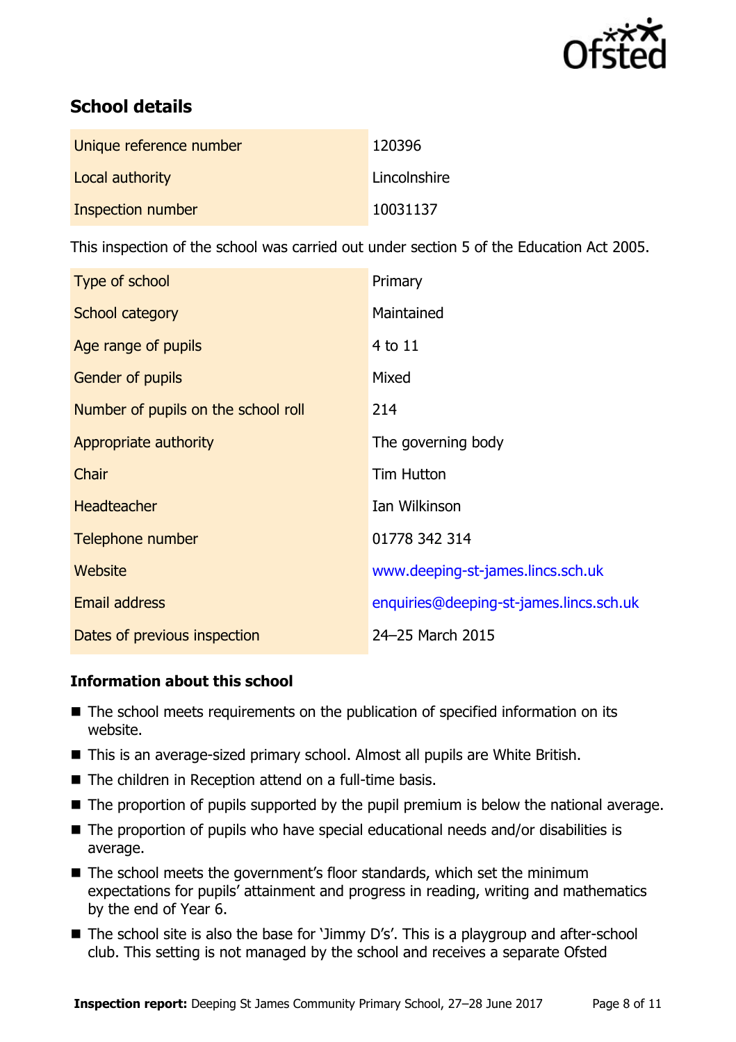

## **School details**

| Unique reference number | 120396       |
|-------------------------|--------------|
| Local authority         | Lincolnshire |
| Inspection number       | 10031137     |

This inspection of the school was carried out under section 5 of the Education Act 2005.

| Type of school                      | Primary                                 |
|-------------------------------------|-----------------------------------------|
| School category                     | Maintained                              |
| Age range of pupils                 | 4 to 11                                 |
| <b>Gender of pupils</b>             | Mixed                                   |
| Number of pupils on the school roll | 214                                     |
| Appropriate authority               | The governing body                      |
| <b>Chair</b>                        | <b>Tim Hutton</b>                       |
| <b>Headteacher</b>                  | Ian Wilkinson                           |
| Telephone number                    | 01778 342 314                           |
| Website                             | www.deeping-st-james.lincs.sch.uk       |
| <b>Email address</b>                | enquiries@deeping-st-james.lincs.sch.uk |
| Dates of previous inspection        | 24-25 March 2015                        |

#### **Information about this school**

- The school meets requirements on the publication of specified information on its website.
- This is an average-sized primary school. Almost all pupils are White British.
- The children in Reception attend on a full-time basis.
- The proportion of pupils supported by the pupil premium is below the national average.
- The proportion of pupils who have special educational needs and/or disabilities is average.
- The school meets the government's floor standards, which set the minimum expectations for pupils' attainment and progress in reading, writing and mathematics by the end of Year 6.
- The school site is also the base for 'Jimmy D's'. This is a playgroup and after-school club. This setting is not managed by the school and receives a separate Ofsted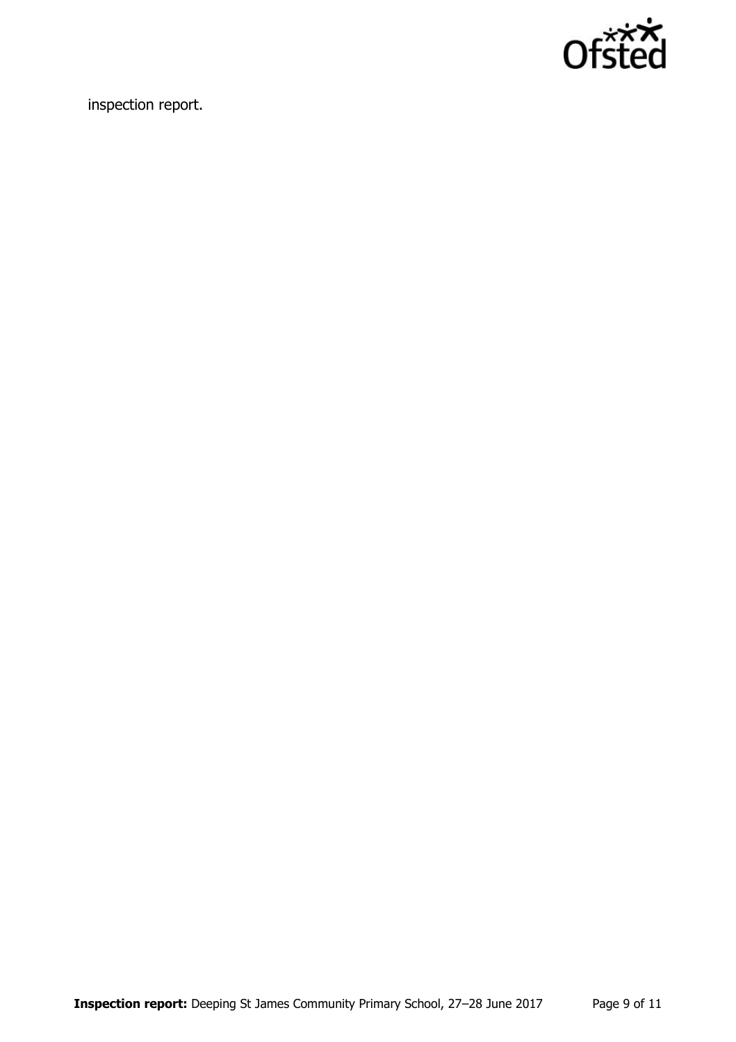

inspection report.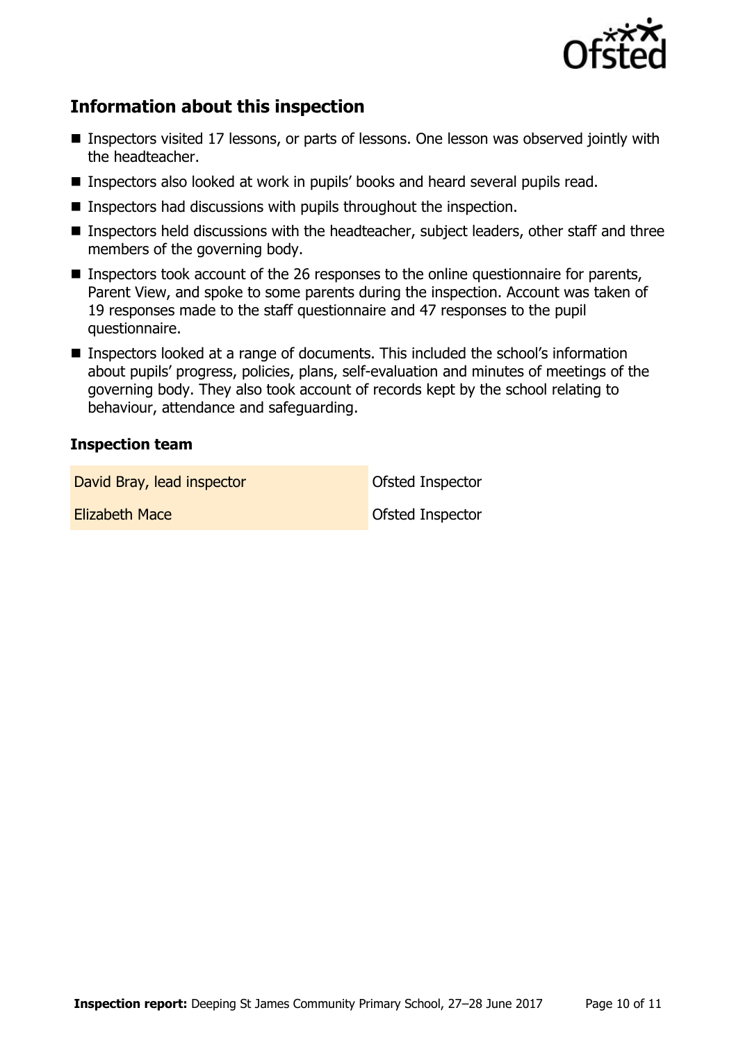

## **Information about this inspection**

- Inspectors visited 17 lessons, or parts of lessons. One lesson was observed jointly with the headteacher.
- **Inspectors also looked at work in pupils' books and heard several pupils read.**
- $\blacksquare$  Inspectors had discussions with pupils throughout the inspection.
- Inspectors held discussions with the headteacher, subject leaders, other staff and three members of the governing body.
- Inspectors took account of the 26 responses to the online questionnaire for parents, Parent View, and spoke to some parents during the inspection. Account was taken of 19 responses made to the staff questionnaire and 47 responses to the pupil questionnaire.
- Inspectors looked at a range of documents. This included the school's information about pupils' progress, policies, plans, self-evaluation and minutes of meetings of the governing body. They also took account of records kept by the school relating to behaviour, attendance and safeguarding.

#### **Inspection team**

David Bray, lead inspector **David Bray, lead inspector** 

**Elizabeth Mace Constanting Constanting Constanting Constanting Constanting Constanting Constanting Constanting Constanting Constanting Constanting Constanting Constanting Constanting Constanting Constanting Constanting**